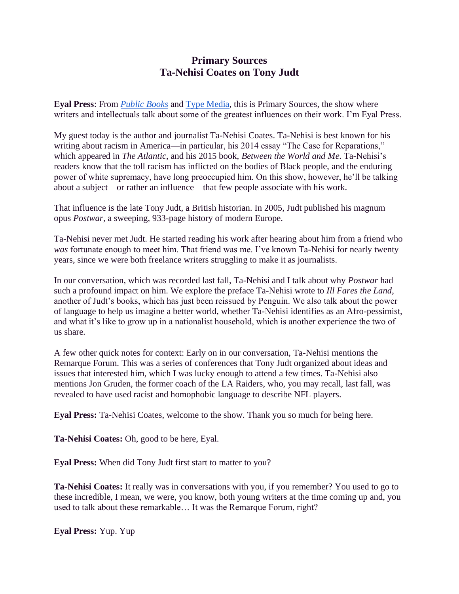# **Primary Sources Ta-Nehisi Coates on Tony Judt**

**Eyal Press**: From *[Public Books](https://www.publicbooks.org/)* and [Type Media,](https://typemediacenter.org/) this is Primary Sources, the show where writers and intellectuals talk about some of the greatest influences on their work. I'm Eyal Press.

My guest today is the author and journalist Ta-Nehisi Coates. Ta-Nehisi is best known for his writing about racism in America—in particular, his 2014 essay "The Case for Reparations," which appeared in *The Atlantic*, and his 2015 book, *Between the World and Me.* Ta-Nehisi's readers know that the toll racism has inflicted on the bodies of Black people, and the enduring power of white supremacy, have long preoccupied him. On this show, however, he'll be talking about a subject—or rather an influence—that few people associate with his work.

That influence is the late Tony Judt, a British historian. In 2005, Judt published his magnum opus *Postwar*, a sweeping, 933-page history of modern Europe.

Ta-Nehisi never met Judt. He started reading his work after hearing about him from a friend who *was* fortunate enough to meet him. That friend was me. I've known Ta-Nehisi for nearly twenty years, since we were both freelance writers struggling to make it as journalists.

In our conversation, which was recorded last fall, Ta-Nehisi and I talk about why *Postwar* had such a profound impact on him. We explore the preface Ta-Nehisi wrote to *Ill Fares the Land*, another of Judt's books, which has just been reissued by Penguin. We also talk about the power of language to help us imagine a better world, whether Ta-Nehisi identifies as an Afro-pessimist, and what it's like to grow up in a nationalist household, which is another experience the two of us share.

A few other quick notes for context: Early on in our conversation, Ta-Nehisi mentions the Remarque Forum. This was a series of conferences that Tony Judt organized about ideas and issues that interested him, which I was lucky enough to attend a few times. Ta-Nehisi also mentions Jon Gruden, the former coach of the LA Raiders, who, you may recall, last fall, was revealed to have used racist and homophobic language to describe NFL players.

**Eyal Press:** Ta-Nehisi Coates, welcome to the show. Thank you so much for being here.

**Ta-Nehisi Coates:** Oh, good to be here, Eyal.

**Eyal Press:** When did Tony Judt first start to matter to you?

**Ta-Nehisi Coates:** It really was in conversations with you, if you remember? You used to go to these incredible, I mean, we were, you know, both young writers at the time coming up and, you used to talk about these remarkable… It was the Remarque Forum, right?

**Eyal Press:** Yup. Yup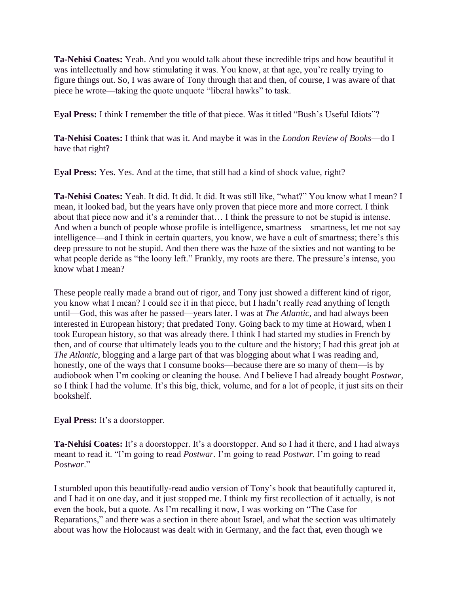**Ta-Nehisi Coates:** Yeah. And you would talk about these incredible trips and how beautiful it was intellectually and how stimulating it was. You know, at that age, you're really trying to figure things out. So, I was aware of Tony through that and then, of course, I was aware of that piece he wrote—taking the quote unquote "liberal hawks" to task.

**Eyal Press:** I think I remember the title of that piece. Was it titled "Bush's Useful Idiots"?

**Ta-Nehisi Coates:** I think that was it. And maybe it was in the *London Review of Books*—do I have that right?

**Eyal Press:** Yes. Yes. And at the time, that still had a kind of shock value, right?

**Ta-Nehisi Coates:** Yeah. It did. It did. It did. It was still like, "what?" You know what I mean? I mean, it looked bad, but the years have only proven that piece more and more correct. I think about that piece now and it's a reminder that… I think the pressure to not be stupid is intense. And when a bunch of people whose profile is intelligence, smartness—smartness, let me not say intelligence—and I think in certain quarters, you know, we have a cult of smartness; there's this deep pressure to not be stupid. And then there was the haze of the sixties and not wanting to be what people deride as "the loony left." Frankly, my roots are there. The pressure's intense, you know what I mean?

These people really made a brand out of rigor, and Tony just showed a different kind of rigor, you know what I mean? I could see it in that piece, but I hadn't really read anything of length until—God, this was after he passed—years later. I was at *The Atlantic*, and had always been interested in European history; that predated Tony. Going back to my time at Howard, when I took European history, so that was already there. I think I had started my studies in French by then, and of course that ultimately leads you to the culture and the history; I had this great job at *The Atlantic*, blogging and a large part of that was blogging about what I was reading and, honestly, one of the ways that I consume books—because there are so many of them—is by audiobook when I'm cooking or cleaning the house. And I believe I had already bought *Postwar,*  so I think I had the volume. It's this big, thick, volume, and for a lot of people, it just sits on their bookshelf.

# **Eyal Press:** It's a doorstopper.

**Ta-Nehisi Coates:** It's a doorstopper. It's a doorstopper. And so I had it there, and I had always meant to read it. "I'm going to read *Postwar.* I'm going to read *Postwar.* I'm going to read *Postwar*."

I stumbled upon this beautifully-read audio version of Tony's book that beautifully captured it, and I had it on one day, and it just stopped me. I think my first recollection of it actually, is not even the book, but a quote. As I'm recalling it now, I was working on "The Case for Reparations," and there was a section in there about Israel, and what the section was ultimately about was how the Holocaust was dealt with in Germany, and the fact that, even though we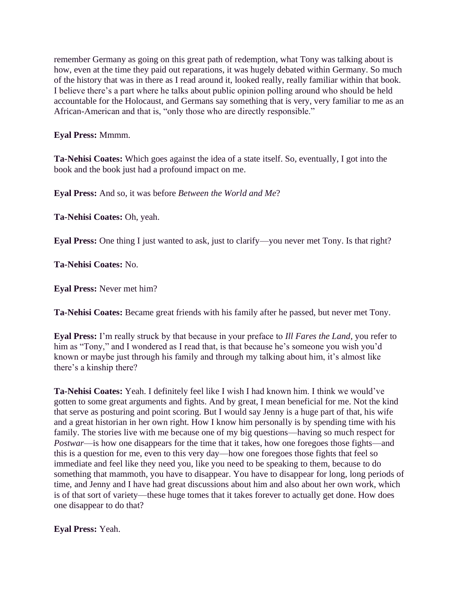remember Germany as going on this great path of redemption, what Tony was talking about is how, even at the time they paid out reparations, it was hugely debated within Germany. So much of the history that was in there as I read around it, looked really, really familiar within that book. I believe there's a part where he talks about public opinion polling around who should be held accountable for the Holocaust, and Germans say something that is very, very familiar to me as an African-American and that is, "only those who are directly responsible."

**Eyal Press:** Mmmm.

**Ta-Nehisi Coates:** Which goes against the idea of a state itself. So, eventually, I got into the book and the book just had a profound impact on me.

**Eyal Press:** And so, it was before *Between the World and Me*?

**Ta-Nehisi Coates:** Oh, yeah.

**Eyal Press:** One thing I just wanted to ask, just to clarify—you never met Tony. Is that right?

**Ta-Nehisi Coates:** No.

**Eyal Press:** Never met him?

**Ta-Nehisi Coates:** Became great friends with his family after he passed, but never met Tony.

**Eyal Press:** I'm really struck by that because in your preface to *Ill Fares the Land*, you refer to him as "Tony," and I wondered as I read that, is that because he's someone you wish you'd known or maybe just through his family and through my talking about him, it's almost like there's a kinship there?

**Ta-Nehisi Coates:** Yeah. I definitely feel like I wish I had known him. I think we would've gotten to some great arguments and fights. And by great, I mean beneficial for me. Not the kind that serve as posturing and point scoring. But I would say Jenny is a huge part of that, his wife and a great historian in her own right. How I know him personally is by spending time with his family. The stories live with me because one of my big questions—having so much respect for *Postwar*—is how one disappears for the time that it takes, how one foregoes those fights—and this is a question for me, even to this very day—how one foregoes those fights that feel so immediate and feel like they need you, like you need to be speaking to them, because to do something that mammoth, you have to disappear. You have to disappear for long, long periods of time, and Jenny and I have had great discussions about him and also about her own work, which is of that sort of variety—these huge tomes that it takes forever to actually get done. How does one disappear to do that?

**Eyal Press:** Yeah.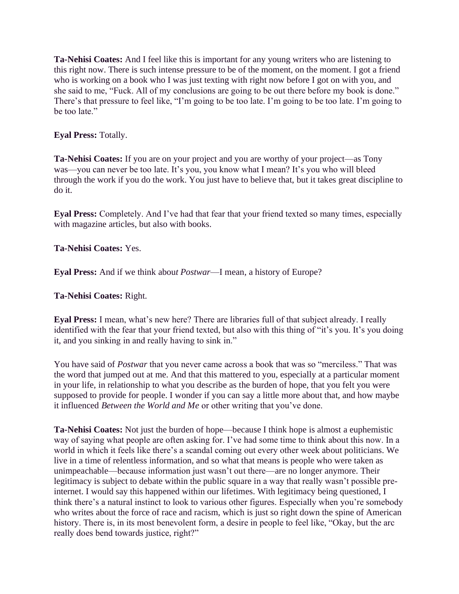**Ta-Nehisi Coates:** And I feel like this is important for any young writers who are listening to this right now. There is such intense pressure to be of the moment, on the moment. I got a friend who is working on a book who I was just texting with right now before I got on with you, and she said to me, "Fuck. All of my conclusions are going to be out there before my book is done." There's that pressure to feel like, "I'm going to be too late. I'm going to be too late. I'm going to be too late."

# **Eyal Press:** Totally.

**Ta-Nehisi Coates:** If you are on your project and you are worthy of your project—as Tony was—you can never be too late. It's you, you know what I mean? It's you who will bleed through the work if you do the work. You just have to believe that, but it takes great discipline to do it.

**Eyal Press:** Completely. And I've had that fear that your friend texted so many times, especially with magazine articles, but also with books.

## **Ta-Nehisi Coates:** Yes.

**Eyal Press:** And if we think abou*t Postwar*—I mean, a history of Europe?

## **Ta-Nehisi Coates:** Right.

**Eyal Press:** I mean, what's new here? There are libraries full of that subject already. I really identified with the fear that your friend texted, but also with this thing of "it's you. It's you doing it, and you sinking in and really having to sink in."

You have said of *Postwar* that you never came across a book that was so "merciless." That was the word that jumped out at me. And that this mattered to you, especially at a particular moment in your life, in relationship to what you describe as the burden of hope, that you felt you were supposed to provide for people. I wonder if you can say a little more about that, and how maybe it influenced *Between the World and Me* or other writing that you've done.

**Ta-Nehisi Coates:** Not just the burden of hope—because I think hope is almost a euphemistic way of saying what people are often asking for. I've had some time to think about this now. In a world in which it feels like there's a scandal coming out every other week about politicians. We live in a time of relentless information, and so what that means is people who were taken as unimpeachable—because information just wasn't out there—are no longer anymore. Their legitimacy is subject to debate within the public square in a way that really wasn't possible preinternet. I would say this happened within our lifetimes. With legitimacy being questioned, I think there's a natural instinct to look to various other figures. Especially when you're somebody who writes about the force of race and racism, which is just so right down the spine of American history. There is, in its most benevolent form, a desire in people to feel like, "Okay, but the arc really does bend towards justice, right?"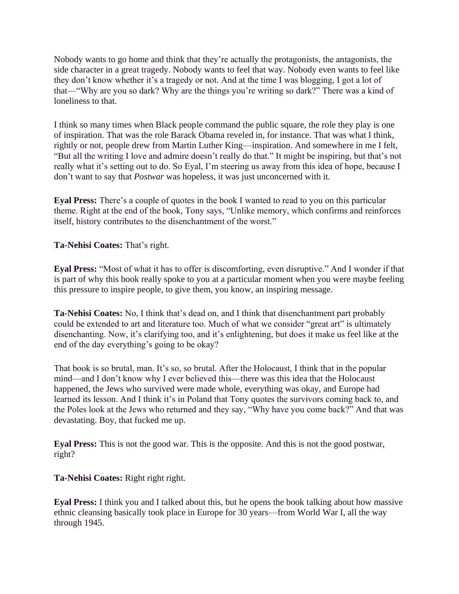Nobody wants to go home and think that they're actually the protagonists, the antagonists, the side character in a great tragedy. Nobody wants to feel that way. Nobody even wants to feel like they don't know whether it's a tragedy or not. And at the time I was blogging, I got a lot of that—"Why are you so dark? Why are the things you're writing so dark?" There was a kind of loneliness to that.

I think so many times when Black people command the public square, the role they play is one of inspiration. That was the role Barack Obama reveled in, for instance. That was what I think, rightly or not, people drew from Martin Luther King—inspiration. And somewhere in me I felt, "But all the writing I love and admire doesn't really do that." It might be inspiring, but that's not really what it's setting out to do. So Eyal, I'm steering us away from this idea of hope, because I don't want to say that *Postwar* was hopeless, it was just unconcerned with it.

**Eyal Press:** There's a couple of quotes in the book I wanted to read to you on this particular theme. Right at the end of the book, Tony says, "Unlike memory, which confirms and reinforces itself, history contributes to the disenchantment of the worst."

**Ta-Nehisi Coates:** That's right.

**Eyal Press:** "Most of what it has to offer is discomforting, even disruptive." And I wonder if that is part of why this book really spoke to you at a particular moment when you were maybe feeling this pressure to inspire people, to give them, you know, an inspiring message.

**Ta-Nehisi Coates:** No, I think that's dead on, and I think that disenchantment part probably could be extended to art and literature too. Much of what we consider "great art" is ultimately disenchanting. Now, it's clarifying too, and it's enlightening, but does it make us feel like at the end of the day everything's going to be okay?

That book is so brutal, man. It's so, so brutal. After the Holocaust, I think that in the popular mind—and I don't know why I ever believed this—there was this idea that the Holocaust happened, the Jews who survived were made whole, everything was okay, and Europe had learned its lesson. And I think it's in Poland that Tony quotes the survivors coming back to, and the Poles look at the Jews who returned and they say, "Why have you come back?" And that was devastating. Boy, that fucked me up.

**Eyal Press:** This is not the good war. This is the opposite. And this is not the good postwar, right?

**Ta-Nehisi Coates:** Right right right.

**Eyal Press:** I think you and I talked about this, but he opens the book talking about how massive ethnic cleansing basically took place in Europe for 30 years—from World War I, all the way through 1945.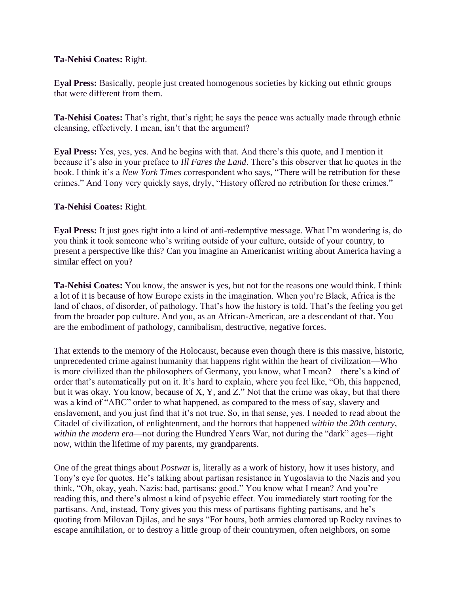### **Ta-Nehisi Coates:** Right.

**Eyal Press:** Basically, people just created homogenous societies by kicking out ethnic groups that were different from them.

**Ta-Nehisi Coates:** That's right, that's right; he says the peace was actually made through ethnic cleansing, effectively. I mean, isn't that the argument?

**Eyal Press:** Yes, yes, yes. And he begins with that. And there's this quote, and I mention it because it's also in your preface to *Ill Fares the Land*. There's this observer that he quotes in the book. I think it's a *New York Times c*orrespondent who says, "There will be retribution for these crimes." And Tony very quickly says, dryly, "History offered no retribution for these crimes."

# **Ta-Nehisi Coates:** Right.

**Eyal Press:** It just goes right into a kind of anti-redemptive message. What I'm wondering is, do you think it took someone who's writing outside of your culture, outside of your country, to present a perspective like this? Can you imagine an Americanist writing about America having a similar effect on you?

**Ta-Nehisi Coates:** You know, the answer is yes, but not for the reasons one would think. I think a lot of it is because of how Europe exists in the imagination. When you're Black, Africa is the land of chaos, of disorder, of pathology. That's how the history is told. That's the feeling you get from the broader pop culture. And you, as an African-American, are a descendant of that. You are the embodiment of pathology, cannibalism, destructive, negative forces.

That extends to the memory of the Holocaust, because even though there is this massive, historic, unprecedented crime against humanity that happens right within the heart of civilization—Who is more civilized than the philosophers of Germany, you know, what I mean?—there's a kind of order that's automatically put on it. It's hard to explain, where you feel like, "Oh, this happened, but it was okay. You know, because of X, Y, and Z." Not that the crime was okay, but that there was a kind of "ABC" order to what happened, as compared to the mess of say, slavery and enslavement, and you just find that it's not true. So, in that sense, yes. I needed to read about the Citadel of civilization, of enlightenment, and the horrors that happened *within the 20th century*, *within the modern era*—not during the Hundred Years War, not during the "dark" ages—right now, within the lifetime of my parents, my grandparents.

One of the great things about *Postwa*r is, literally as a work of history, how it uses history, and Tony's eye for quotes. He's talking about partisan resistance in Yugoslavia to the Nazis and you think, "Oh, okay, yeah. Nazis: bad, partisans: good." You know what I mean? And you're reading this, and there's almost a kind of psychic effect. You immediately start rooting for the partisans. And, instead, Tony gives you this mess of partisans fighting partisans, and he's quoting from Milovan Djilas, and he says "For hours, both armies clamored up Rocky ravines to escape annihilation, or to destroy a little group of their countrymen, often neighbors, on some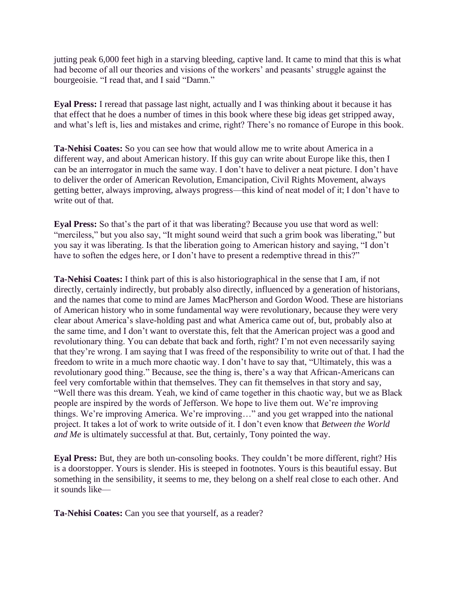jutting peak 6,000 feet high in a starving bleeding, captive land. It came to mind that this is what had become of all our theories and visions of the workers' and peasants' struggle against the bourgeoisie. "I read that, and I said "Damn."

**Eyal Press:** I reread that passage last night, actually and I was thinking about it because it has that effect that he does a number of times in this book where these big ideas get stripped away, and what's left is, lies and mistakes and crime, right? There's no romance of Europe in this book.

**Ta-Nehisi Coates:** So you can see how that would allow me to write about America in a different way, and about American history. If this guy can write about Europe like this, then I can be an interrogator in much the same way. I don't have to deliver a neat picture. I don't have to deliver the order of American Revolution, Emancipation, Civil Rights Movement, always getting better, always improving, always progress—this kind of neat model of it; I don't have to write out of that.

**Eyal Press:** So that's the part of it that was liberating? Because you use that word as well: "merciless," but you also say, "It might sound weird that such a grim book was liberating," but you say it was liberating. Is that the liberation going to American history and saying, "I don't have to soften the edges here, or I don't have to present a redemptive thread in this?"

**Ta-Nehisi Coates:** I think part of this is also historiographical in the sense that I am, if not directly, certainly indirectly, but probably also directly, influenced by a generation of historians, and the names that come to mind are James MacPherson and Gordon Wood. These are historians of American history who in some fundamental way were revolutionary, because they were very clear about America's slave-holding past and what America came out of, but, probably also at the same time, and I don't want to overstate this, felt that the American project was a good and revolutionary thing. You can debate that back and forth, right? I'm not even necessarily saying that they're wrong. I am saying that I was freed of the responsibility to write out of that. I had the freedom to write in a much more chaotic way. I don't have to say that, "Ultimately, this was a revolutionary good thing." Because, see the thing is, there's a way that African-Americans can feel very comfortable within that themselves. They can fit themselves in that story and say, "Well there was this dream. Yeah, we kind of came together in this chaotic way, but we as Black people are inspired by the words of Jefferson. We hope to live them out. We're improving things. We're improving America. We're improving…" and you get wrapped into the national project. It takes a lot of work to write outside of it. I don't even know that *Between the World and Me* is ultimately successful at that. But, certainly, Tony pointed the way.

**Eyal Press:** But, they are both un-consoling books. They couldn't be more different, right? His is a doorstopper. Yours is slender. His is steeped in footnotes. Yours is this beautiful essay. But something in the sensibility, it seems to me, they belong on a shelf real close to each other. And it sounds like—

**Ta-Nehisi Coates:** Can you see that yourself, as a reader?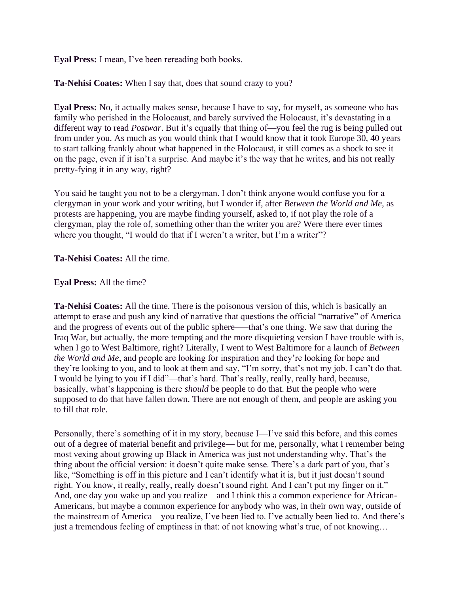**Eyal Press:** I mean, I've been rereading both books.

**Ta-Nehisi Coates:** When I say that, does that sound crazy to you?

**Eyal Press:** No, it actually makes sense, because I have to say, for myself, as someone who has family who perished in the Holocaust, and barely survived the Holocaust, it's devastating in a different way to read *Postwar*. But it's equally that thing of—you feel the rug is being pulled out from under you. As much as you would think that I would know that it took Europe 30, 40 years to start talking frankly about what happened in the Holocaust, it still comes as a shock to see it on the page, even if it isn't a surprise. And maybe it's the way that he writes, and his not really pretty-fying it in any way, right?

You said he taught you not to be a clergyman. I don't think anyone would confuse you for a clergyman in your work and your writing, but I wonder if, after *Between the World and Me,* as protests are happening, you are maybe finding yourself, asked to, if not play the role of a clergyman, play the role of, something other than the writer you are? Were there ever times where you thought, "I would do that if I weren't a writer, but I'm a writer"?

**Ta-Nehisi Coates:** All the time.

## **Eyal Press:** All the time?

**Ta-Nehisi Coates:** All the time. There is the poisonous version of this, which is basically an attempt to erase and push any kind of narrative that questions the official "narrative" of America and the progress of events out of the public sphere——that's one thing. We saw that during the Iraq War, but actually, the more tempting and the more disquieting version I have trouble with is, when I go to West Baltimore, right? Literally, I went to West Baltimore for a launch of *Between the World and Me*, and people are looking for inspiration and they're looking for hope and they're looking to you, and to look at them and say, "I'm sorry, that's not my job. I can't do that. I would be lying to you if I did"—that's hard. That's really, really, really hard, because, basically, what's happening is there *should* be people to do that. But the people who were supposed to do that have fallen down. There are not enough of them, and people are asking you to fill that role.

Personally, there's something of it in my story, because I—I've said this before, and this comes out of a degree of material benefit and privilege— but for me, personally, what I remember being most vexing about growing up Black in America was just not understanding why. That's the thing about the official version: it doesn't quite make sense. There's a dark part of you, that's like, "Something is off in this picture and I can't identify what it is, but it just doesn't sound right. You know, it really, really, really doesn't sound right. And I can't put my finger on it." And, one day you wake up and you realize—and I think this a common experience for African-Americans, but maybe a common experience for anybody who was, in their own way, outside of the mainstream of America—you realize, I've been lied to. I've actually been lied to. And there's just a tremendous feeling of emptiness in that: of not knowing what's true, of not knowing…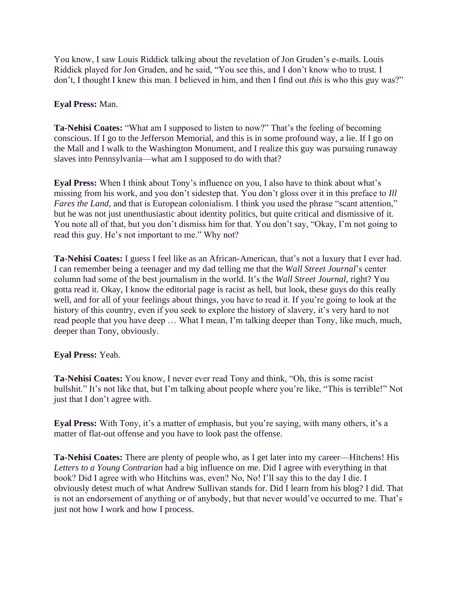You know, I saw Louis Riddick talking about the revelation of Jon Gruden's e-mails. Louis Riddick played for Jon Gruden, and he said, "You see this, and I don't know who to trust. I don't, I thought I knew this man. I believed in him, and then I find out *this* is who this guy was?"

### **Eyal Press:** Man.

**Ta-Nehisi Coates:** "What am I supposed to listen to now?" That's the feeling of becoming conscious. If I go to the Jefferson Memorial, and this is in some profound way, a lie. If I go on the Mall and I walk to the Washington Monument, and I realize this guy was pursuing runaway slaves into Pennsylvania—what am I supposed to do with that?

**Eyal Press:** When I think about Tony's influence on you, I also have to think about what's missing from his work, and you don't sidestep that. You don't gloss over it in this preface to *Ill Fares the Land,* and that is European colonialism. I think you used the phrase "scant attention," but he was not just unenthusiastic about identity politics, but quite critical and dismissive of it. You note all of that, but you don't dismiss him for that. You don't say, "Okay, I'm not going to read this guy. He's not important to me." Why not?

**Ta-Nehisi Coates:** I guess I feel like as an African-American, that's not a luxury that I ever had. I can remember being a teenager and my dad telling me that the *Wall Street Journal*'s center column had some of the best journalism in the world. It's the *Wall Street Journal*, right? You gotta read it. Okay, I know the editorial page is racist as hell, but look, these guys do this really well, and for all of your feelings about things, you have to read it. If you're going to look at the history of this country, even if you seek to explore the history of slavery, it's very hard to not read people that you have deep … What I mean, I'm talking deeper than Tony, like much, much, deeper than Tony, obviously.

#### **Eyal Press:** Yeah.

**Ta-Nehisi Coates:** You know, I never ever read Tony and think, "Oh, this is some racist bullshit." It's not like that, but I'm talking about people where you're like, "This is terrible!" Not just that I don't agree with.

**Eyal Press:** With Tony, it's a matter of emphasis, but you're saying, with many others, it's a matter of flat-out offense and you have to look past the offense.

**Ta-Nehisi Coates:** There are plenty of people who, as I get later into my career—Hitchens! His *Letters to a Young Contrarian* had a big influence on me. Did I agree with everything in that book? Did I agree with who Hitchins was, even? No, No! I'll say this to the day I die. I obviously detest much of what Andrew Sullivan stands for. Did I learn from his blog? I did. That is not an endorsement of anything or of anybody, but that never would've occurred to me. That's just not how I work and how I process.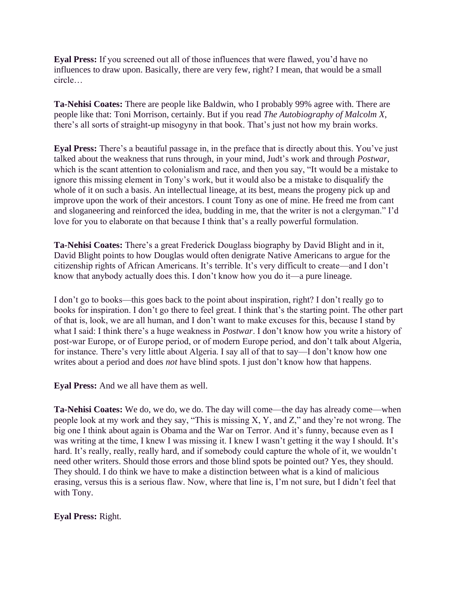**Eyal Press:** If you screened out all of those influences that were flawed, you'd have no influences to draw upon. Basically, there are very few, right? I mean, that would be a small circle…

**Ta-Nehisi Coates:** There are people like Baldwin, who I probably 99% agree with. There are people like that: Toni Morrison, certainly. But if you read *The Autobiography of Malcolm X*, there's all sorts of straight-up misogyny in that book. That's just not how my brain works.

**Eyal Press:** There's a beautiful passage in, in the preface that is directly about this. You've just talked about the weakness that runs through, in your mind, Judt's work and through *Postwar*, which is the scant attention to colonialism and race, and then you say, "It would be a mistake to ignore this missing element in Tony's work, but it would also be a mistake to disqualify the whole of it on such a basis. An intellectual lineage, at its best, means the progeny pick up and improve upon the work of their ancestors. I count Tony as one of mine. He freed me from cant and sloganeering and reinforced the idea, budding in me, that the writer is not a clergyman." I'd love for you to elaborate on that because I think that's a really powerful formulation.

**Ta-Nehisi Coates:** There's a great Frederick Douglass biography by David Blight and in it, David Blight points to how Douglas would often denigrate Native Americans to argue for the citizenship rights of African Americans. It's terrible. It's very difficult to create—and I don't know that anybody actually does this. I don't know how you do it—a pure lineage.

I don't go to books—this goes back to the point about inspiration, right? I don't really go to books for inspiration. I don't go there to feel great. I think that's the starting point. The other part of that is, look, we are all human, and I don't want to make excuses for this, because I stand by what I said: I think there's a huge weakness in *Postwar*. I don't know how you write a history of post-war Europe, or of Europe period, or of modern Europe period, and don't talk about Algeria, for instance. There's very little about Algeria. I say all of that to say—I don't know how one writes about a period and does *not* have blind spots. I just don't know how that happens.

**Eyal Press:** And we all have them as well.

**Ta-Nehisi Coates:** We do, we do, we do. The day will come—the day has already come—when people look at my work and they say, "This is missing X, Y, and Z," and they're not wrong. The big one I think about again is Obama and the War on Terror. And it's funny, because even as I was writing at the time, I knew I was missing it. I knew I wasn't getting it the way I should. It's hard. It's really, really, really hard, and if somebody could capture the whole of it, we wouldn't need other writers. Should those errors and those blind spots be pointed out? Yes, they should. They should. I do think we have to make a distinction between what is a kind of malicious erasing, versus this is a serious flaw. Now, where that line is, I'm not sure, but I didn't feel that with Tony.

**Eyal Press:** Right.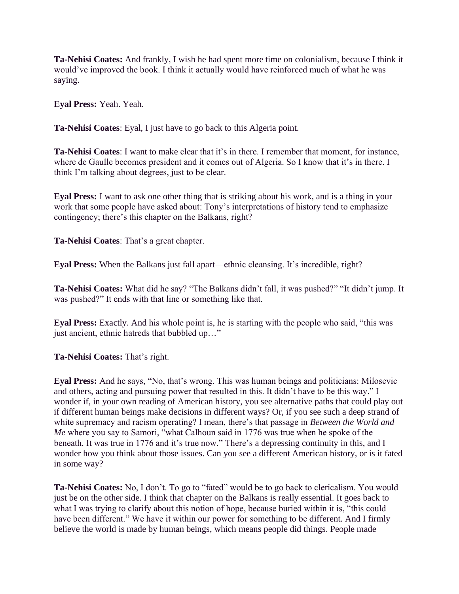**Ta-Nehisi Coates:** And frankly, I wish he had spent more time on colonialism, because I think it would've improved the book. I think it actually would have reinforced much of what he was saying.

**Eyal Press:** Yeah. Yeah.

**Ta-Nehisi Coates**: Eyal, I just have to go back to this Algeria point.

**Ta-Nehisi Coates**: I want to make clear that it's in there. I remember that moment, for instance, where de Gaulle becomes president and it comes out of Algeria. So I know that it's in there. I think I'm talking about degrees, just to be clear.

**Eyal Press:** I want to ask one other thing that is striking about his work, and is a thing in your work that some people have asked about: Tony's interpretations of history tend to emphasize contingency; there's this chapter on the Balkans, right?

**Ta-Nehisi Coates**: That's a great chapter.

**Eyal Press:** When the Balkans just fall apart—ethnic cleansing. It's incredible, right?

**Ta-Nehisi Coates:** What did he say? "The Balkans didn't fall, it was pushed?" "It didn't jump. It was pushed?" It ends with that line or something like that.

**Eyal Press:** Exactly. And his whole point is, he is starting with the people who said, "this was just ancient, ethnic hatreds that bubbled up…"

**Ta-Nehisi Coates:** That's right.

**Eyal Press:** And he says, "No, that's wrong. This was human beings and politicians: Milosevic and others, acting and pursuing power that resulted in this. It didn't have to be this way." I wonder if, in your own reading of American history, you see alternative paths that could play out if different human beings make decisions in different ways? Or, if you see such a deep strand of white supremacy and racism operating? I mean, there's that passage in *Between the World and Me* where you say to Samori, "what Calhoun said in 1776 was true when he spoke of the beneath. It was true in 1776 and it's true now." There's a depressing continuity in this, and I wonder how you think about those issues. Can you see a different American history, or is it fated in some way?

**Ta-Nehisi Coates:** No, I don't. To go to "fated" would be to go back to clericalism. You would just be on the other side. I think that chapter on the Balkans is really essential. It goes back to what I was trying to clarify about this notion of hope, because buried within it is, "this could have been different." We have it within our power for something to be different. And I firmly believe the world is made by human beings, which means people did things. People made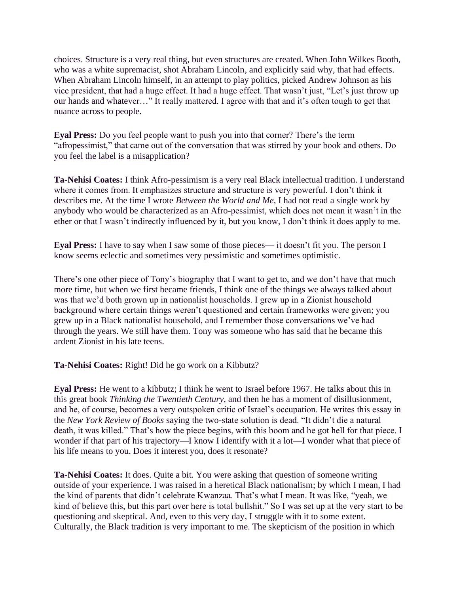choices. Structure is a very real thing, but even structures are created. When John Wilkes Booth, who was a white supremacist, shot Abraham Lincoln, and explicitly said why, that had effects. When Abraham Lincoln himself, in an attempt to play politics, picked Andrew Johnson as his vice president, that had a huge effect. It had a huge effect. That wasn't just, "Let's just throw up our hands and whatever…" It really mattered. I agree with that and it's often tough to get that nuance across to people.

**Eyal Press:** Do you feel people want to push you into that corner? There's the term "afropessimist," that came out of the conversation that was stirred by your book and others. Do you feel the label is a misapplication?

**Ta-Nehisi Coates:** I think Afro-pessimism is a very real Black intellectual tradition. I understand where it comes from. It emphasizes structure and structure is very powerful. I don't think it describes me. At the time I wrote *Between the World and Me,* I had not read a single work by anybody who would be characterized as an Afro-pessimist, which does not mean it wasn't in the ether or that I wasn't indirectly influenced by it, but you know, I don't think it does apply to me.

**Eyal Press:** I have to say when I saw some of those pieces— it doesn't fit you. The person I know seems eclectic and sometimes very pessimistic and sometimes optimistic.

There's one other piece of Tony's biography that I want to get to, and we don't have that much more time, but when we first became friends, I think one of the things we always talked about was that we'd both grown up in nationalist households. I grew up in a Zionist household background where certain things weren't questioned and certain frameworks were given; you grew up in a Black nationalist household, and I remember those conversations we've had through the years. We still have them. Tony was someone who has said that he became this ardent Zionist in his late teens.

**Ta-Nehisi Coates:** Right! Did he go work on a Kibbutz?

**Eyal Press:** He went to a kibbutz; I think he went to Israel before 1967. He talks about this in this great book *Thinking the Twentieth Century,* and then he has a moment of disillusionment, and he, of course, becomes a very outspoken critic of Israel's occupation. He writes this essay in the *New York Review of Books* saying the two-state solution is dead. "It didn't die a natural death, it was killed." That's how the piece begins, with this boom and he got hell for that piece. I wonder if that part of his trajectory—I know I identify with it a lot—I wonder what that piece of his life means to you. Does it interest you, does it resonate?

**Ta-Nehisi Coates:** It does. Quite a bit. You were asking that question of someone writing outside of your experience. I was raised in a heretical Black nationalism; by which I mean, I had the kind of parents that didn't celebrate Kwanzaa. That's what I mean. It was like, "yeah, we kind of believe this, but this part over here is total bullshit." So I was set up at the very start to be questioning and skeptical. And, even to this very day, I struggle with it to some extent. Culturally, the Black tradition is very important to me. The skepticism of the position in which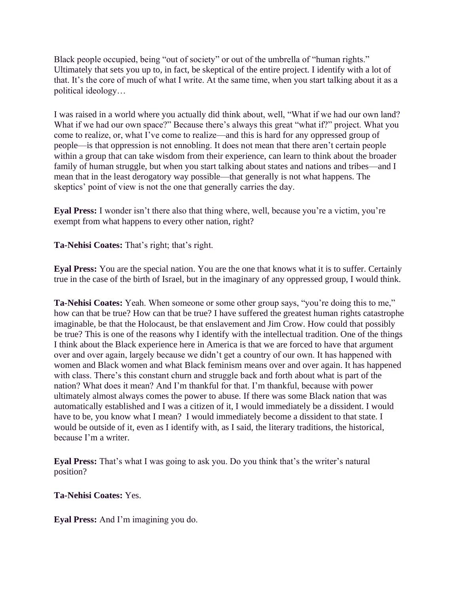Black people occupied, being "out of society" or out of the umbrella of "human rights." Ultimately that sets you up to, in fact, be skeptical of the entire project. I identify with a lot of that. It's the core of much of what I write. At the same time, when you start talking about it as a political ideology…

I was raised in a world where you actually did think about, well, "What if we had our own land? What if we had our own space?" Because there's always this great "what if?" project. What you come to realize, or, what I've come to realize—and this is hard for any oppressed group of people—is that oppression is not ennobling. It does not mean that there aren't certain people within a group that can take wisdom from their experience, can learn to think about the broader family of human struggle, but when you start talking about states and nations and tribes—and I mean that in the least derogatory way possible—that generally is not what happens. The skeptics' point of view is not the one that generally carries the day.

**Eyal Press:** I wonder isn't there also that thing where, well, because you're a victim, you're exempt from what happens to every other nation, right?

**Ta-Nehisi Coates:** That's right; that's right.

**Eyal Press:** You are the special nation. You are the one that knows what it is to suffer. Certainly true in the case of the birth of Israel, but in the imaginary of any oppressed group, I would think.

**Ta-Nehisi Coates:** Yeah. When someone or some other group says, "you're doing this to me," how can that be true? How can that be true? I have suffered the greatest human rights catastrophe imaginable, be that the Holocaust, be that enslavement and Jim Crow. How could that possibly be true? This is one of the reasons why I identify with the intellectual tradition. One of the things I think about the Black experience here in America is that we are forced to have that argument over and over again, largely because we didn't get a country of our own. It has happened with women and Black women and what Black feminism means over and over again. It has happened with class. There's this constant churn and struggle back and forth about what is part of the nation? What does it mean? And I'm thankful for that. I'm thankful, because with power ultimately almost always comes the power to abuse. If there was some Black nation that was automatically established and I was a citizen of it, I would immediately be a dissident. I would have to be, you know what I mean? I would immediately become a dissident to that state. I would be outside of it, even as I identify with, as I said, the literary traditions, the historical, because I'm a writer.

**Eyal Press:** That's what I was going to ask you. Do you think that's the writer's natural position?

**Ta-Nehisi Coates:** Yes.

**Eyal Press:** And I'm imagining you do.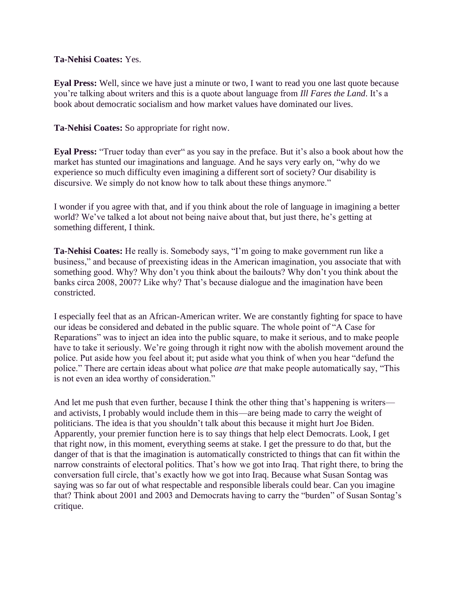### **Ta-Nehisi Coates:** Yes.

**Eyal Press:** Well, since we have just a minute or two, I want to read you one last quote because you're talking about writers and this is a quote about language from *Ill Fares the Land*. It's a book about democratic socialism and how market values have dominated our lives.

**Ta-Nehisi Coates:** So appropriate for right now.

**Eyal Press:** "Truer today than ever" as you say in the preface. But it's also a book about how the market has stunted our imaginations and language. And he says very early on, "why do we experience so much difficulty even imagining a different sort of society? Our disability is discursive. We simply do not know how to talk about these things anymore."

I wonder if you agree with that, and if you think about the role of language in imagining a better world? We've talked a lot about not being naive about that, but just there, he's getting at something different, I think.

**Ta-Nehisi Coates:** He really is. Somebody says, "I'm going to make government run like a business," and because of preexisting ideas in the American imagination, you associate that with something good. Why? Why don't you think about the bailouts? Why don't you think about the banks circa 2008, 2007? Like why? That's because dialogue and the imagination have been constricted.

I especially feel that as an African-American writer. We are constantly fighting for space to have our ideas be considered and debated in the public square. The whole point of "A Case for Reparations" was to inject an idea into the public square, to make it serious, and to make people have to take it seriously. We're going through it right now with the abolish movement around the police. Put aside how you feel about it; put aside what you think of when you hear "defund the police." There are certain ideas about what police *are* that make people automatically say, "This is not even an idea worthy of consideration."

And let me push that even further, because I think the other thing that's happening is writers and activists, I probably would include them in this—are being made to carry the weight of politicians. The idea is that you shouldn't talk about this because it might hurt Joe Biden. Apparently, your premier function here is to say things that help elect Democrats. Look, I get that right now, in this moment, everything seems at stake. I get the pressure to do that, but the danger of that is that the imagination is automatically constricted to things that can fit within the narrow constraints of electoral politics. That's how we got into Iraq. That right there, to bring the conversation full circle, that's exactly how we got into Iraq. Because what Susan Sontag was saying was so far out of what respectable and responsible liberals could bear. Can you imagine that? Think about 2001 and 2003 and Democrats having to carry the "burden" of Susan Sontag's critique.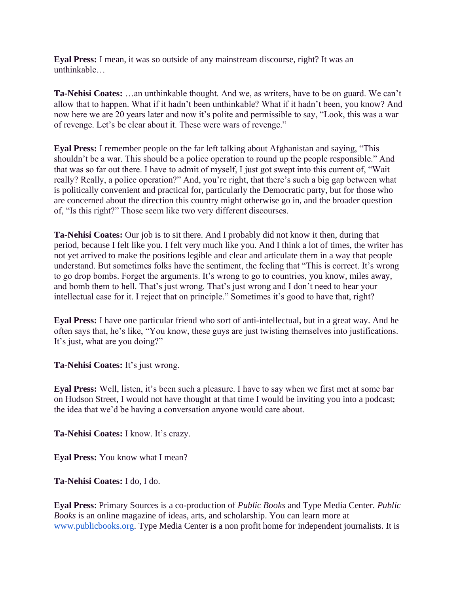**Eyal Press:** I mean, it was so outside of any mainstream discourse, right? It was an unthinkable…

**Ta-Nehisi Coates:** …an unthinkable thought. And we, as writers, have to be on guard. We can't allow that to happen. What if it hadn't been unthinkable? What if it hadn't been, you know? And now here we are 20 years later and now it's polite and permissible to say, "Look, this was a war of revenge. Let's be clear about it. These were wars of revenge."

**Eyal Press:** I remember people on the far left talking about Afghanistan and saying, "This shouldn't be a war. This should be a police operation to round up the people responsible." And that was so far out there. I have to admit of myself, I just got swept into this current of, "Wait really? Really, a police operation?" And, you're right, that there's such a big gap between what is politically convenient and practical for, particularly the Democratic party, but for those who are concerned about the direction this country might otherwise go in, and the broader question of, "Is this right?" Those seem like two very different discourses.

**Ta-Nehisi Coates:** Our job is to sit there. And I probably did not know it then, during that period, because I felt like you. I felt very much like you. And I think a lot of times, the writer has not yet arrived to make the positions legible and clear and articulate them in a way that people understand. But sometimes folks have the sentiment, the feeling that "This is correct. It's wrong to go drop bombs. Forget the arguments. It's wrong to go to countries, you know, miles away, and bomb them to hell. That's just wrong. That's just wrong and I don't need to hear your intellectual case for it. I reject that on principle." Sometimes it's good to have that, right?

**Eyal Press:** I have one particular friend who sort of anti-intellectual, but in a great way. And he often says that, he's like, "You know, these guys are just twisting themselves into justifications. It's just, what are you doing?"

**Ta-Nehisi Coates:** It's just wrong.

**Eyal Press:** Well, listen, it's been such a pleasure. I have to say when we first met at some bar on Hudson Street, I would not have thought at that time I would be inviting you into a podcast; the idea that we'd be having a conversation anyone would care about.

**Ta-Nehisi Coates:** I know. It's crazy.

**Eyal Press:** You know what I mean?

**Ta-Nehisi Coates:** I do, I do.

**Eyal Press**: Primary Sources is a co-production of *Public Books* and Type Media Center. *Public Books* is an online magazine of ideas, arts, and scholarship. You can learn more at [www.publicbooks.org.](http://www.publicbooks.org/) Type Media Center is a non profit home for independent journalists. It is